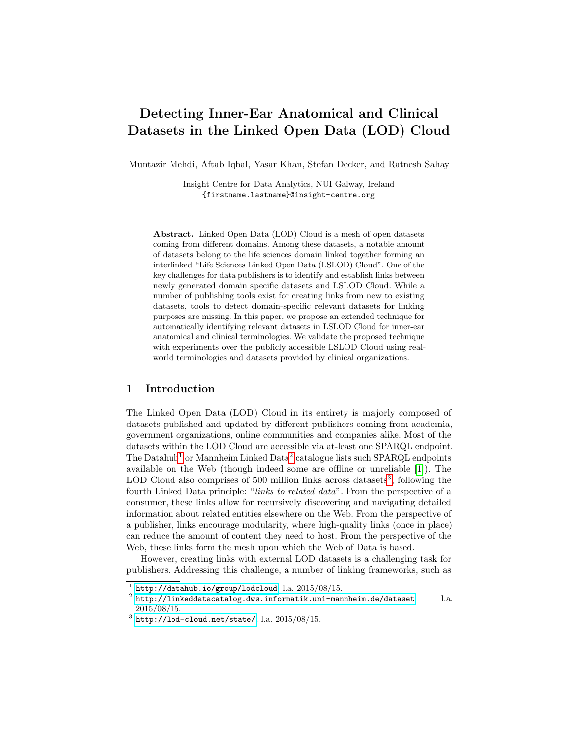# Detecting Inner-Ear Anatomical and Clinical Datasets in the Linked Open Data (LOD) Cloud

Muntazir Mehdi, Aftab Iqbal, Yasar Khan, Stefan Decker, and Ratnesh Sahay

Insight Centre for Data Analytics, NUI Galway, Ireland {firstname.lastname}@insight-centre.org

Abstract. Linked Open Data (LOD) Cloud is a mesh of open datasets coming from different domains. Among these datasets, a notable amount of datasets belong to the life sciences domain linked together forming an interlinked "Life Sciences Linked Open Data (LSLOD) Cloud". One of the key challenges for data publishers is to identify and establish links between newly generated domain specific datasets and LSLOD Cloud. While a number of publishing tools exist for creating links from new to existing datasets, tools to detect domain-specific relevant datasets for linking purposes are missing. In this paper, we propose an extended technique for automatically identifying relevant datasets in LSLOD Cloud for inner-ear anatomical and clinical terminologies. We validate the proposed technique with experiments over the publicly accessible LSLOD Cloud using realworld terminologies and datasets provided by clinical organizations.

# 1 Introduction

The Linked Open Data (LOD) Cloud in its entirety is majorly composed of datasets published and updated by different publishers coming from academia, government organizations, online communities and companies alike. Most of the datasets within the LOD Cloud are accessible via at-least one SPARQL endpoint. The Datahub<sup>[1](#page-0-0)</sup> or Mannheim Linked Data<sup>[2](#page-0-1)</sup> catalogue lists such SPARQL endpoints available on the Web (though indeed some are offline or unreliable [\[1\]](#page-7-0)). The LOD Cloud also comprises of  $500$  million links across datasets<sup>[3](#page-0-2)</sup>, following the fourth Linked Data principle: "links to related data". From the perspective of a consumer, these links allow for recursively discovering and navigating detailed information about related entities elsewhere on the Web. From the perspective of a publisher, links encourage modularity, where high-quality links (once in place) can reduce the amount of content they need to host. From the perspective of the Web, these links form the mesh upon which the Web of Data is based.

However, creating links with external LOD datasets is a challenging task for publishers. Addressing this challenge, a number of linking frameworks, such as

<span id="page-0-0"></span> $1$  <http://datahub.io/group/lodcloud>; l.a.  $2015/08/15$ .

<span id="page-0-1"></span> $^2$  <http://linkeddatacatalog.dws.informatik.uni-mannheim.de/dataset>; l.a. 2015/08/15.

<span id="page-0-2"></span> $^3$  <http://lod-cloud.net/state/>; l.a.  $2015/08/15$ .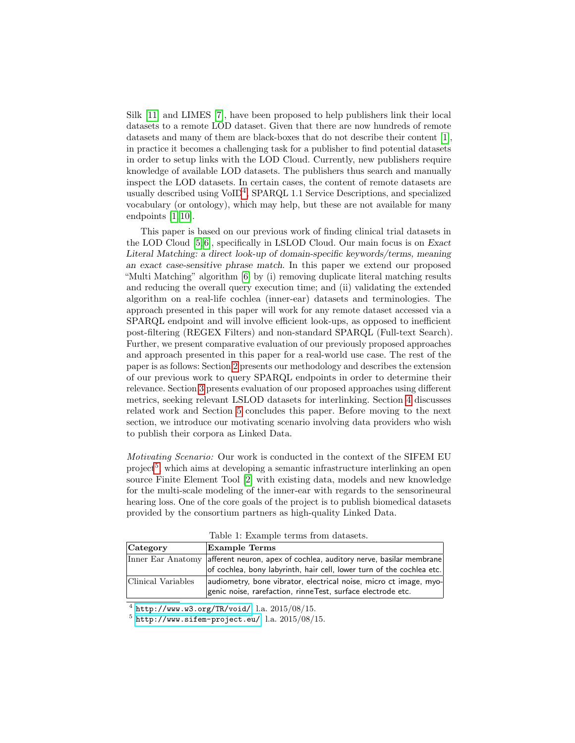Silk [\[11\]](#page-7-1) and LIMES [\[7\]](#page-7-2), have been proposed to help publishers link their local datasets to a remote LOD dataset. Given that there are now hundreds of remote datasets and many of them are black-boxes that do not describe their content [\[1\]](#page-7-0), in practice it becomes a challenging task for a publisher to find potential datasets in order to setup links with the LOD Cloud. Currently, new publishers require knowledge of available LOD datasets. The publishers thus search and manually inspect the LOD datasets. In certain cases, the content of remote datasets are usually described using VoID[4](#page-1-0) , SPARQL 1.1 Service Descriptions, and specialized vocabulary (or ontology), which may help, but these are not available for many endpoints [\[1,](#page-7-0) [10\]](#page-7-3).

This paper is based on our previous work of finding clinical trial datasets in the LOD Cloud [\[5,](#page-7-4) [6\]](#page-7-5), specifically in LSLOD Cloud. Our main focus is on Exact Literal Matching: a direct look-up of domain-specific keywords/terms, meaning an exact case-sensitive phrase match. In this paper we extend our proposed "Multi Matching" algorithm [\[6\]](#page-7-5) by (i) removing duplicate literal matching results and reducing the overall query execution time; and (ii) validating the extended algorithm on a real-life cochlea (inner-ear) datasets and terminologies. The approach presented in this paper will work for any remote dataset accessed via a SPARQL endpoint and will involve efficient look-ups, as opposed to inefficient post-filtering (REGEX Filters) and non-standard SPARQL (Full-text Search). Further, we present comparative evaluation of our previously proposed approaches and approach presented in this paper for a real-world use case. The rest of the paper is as follows: Section [2](#page-2-0) presents our methodology and describes the extension of our previous work to query SPARQL endpoints in order to determine their relevance. Section [3](#page-3-0) presents evaluation of our proposed approaches using different metrics, seeking relevant LSLOD datasets for interlinking. Section [4](#page-6-0) discusses related work and Section [5](#page-6-1) concludes this paper. Before moving to the next section, we introduce our motivating scenario involving data providers who wish to publish their corpora as Linked Data.

Motivating Scenario: Our work is conducted in the context of the SIFEM EU project<sup>[5](#page-1-1)</sup>, which aims at developing a semantic infrastructure interlinking an open source Finite Element Tool [\[2\]](#page-7-6) with existing data, models and new knowledge for the multi-scale modeling of the inner-ear with regards to the sensorineural hearing loss. One of the core goals of the project is to publish biomedical datasets provided by the consortium partners as high-quality Linked Data.

<span id="page-1-2"></span>

| Category           | <b>Example Terms</b>                                                                                                                                          |
|--------------------|---------------------------------------------------------------------------------------------------------------------------------------------------------------|
|                    | Inner Ear Anatomy afferent neuron, apex of cochlea, auditory nerve, basilar membrane<br>of cochlea, bony labyrinth, hair cell, lower turn of the cochlea etc. |
| Clinical Variables | audiometry, bone vibrator, electrical noise, micro ct image, myo-<br>genic noise, rarefaction, rinneTest, surface electrode etc.                              |

Table 1: Example terms from datasets.

<span id="page-1-0"></span> $^4$  <http://www.w3.org/TR/void/>; l.a.  $2015/08/15$ .

<span id="page-1-1"></span> $^5$  <http://www.sifem-project.eu/>; l.a.  $2015/08/15$ .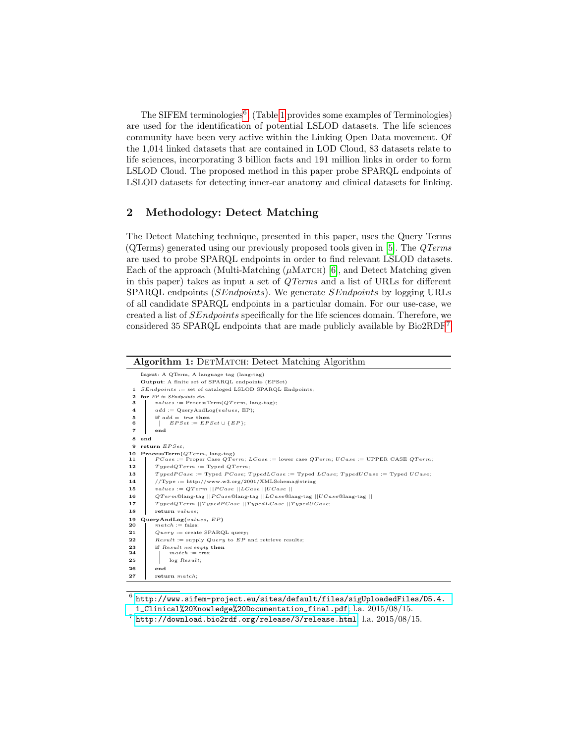The SIFEM terminologies<sup>[6](#page-2-1)</sup>, (Table [1](#page-1-2) provides some examples of Terminologies) are used for the identification of potential LSLOD datasets. The life sciences community have been very active within the Linking Open Data movement. Of the 1,014 linked datasets that are contained in LOD Cloud, 83 datasets relate to life sciences, incorporating 3 billion facts and 191 million links in order to form LSLOD Cloud. The proposed method in this paper probe SPARQL endpoints of LSLOD datasets for detecting inner-ear anatomy and clinical datasets for linking.

# <span id="page-2-0"></span>2 Methodology: Detect Matching

The Detect Matching technique, presented in this paper, uses the Query Terms (QTerms) generated using our previously proposed tools given in [\[5\]](#page-7-4). The QTerms are used to probe SPARQL endpoints in order to find relevant LSLOD datasets. Each of the approach (Multi-Matching  $(\mu$ MATCH) [\[6\]](#page-7-5), and Detect Matching given in this paper) takes as input a set of QTerms and a list of URLs for different SPARQL endpoints (SEndpoints). We generate SEndpoints by logging URLs of all candidate SPARQL endpoints in a particular domain. For our use-case, we created a list of SEndpoints specifically for the life sciences domain. Therefore, we considered 35 SPARQL endpoints that are made publicly available by Bio2RDF[7](#page-2-2) .

| Input: A QTerm, A language tag (lang-tag)                  |                                                                                                  |  |
|------------------------------------------------------------|--------------------------------------------------------------------------------------------------|--|
|                                                            | Output: A finite set of SPARQL endpoints (EPSet)                                                 |  |
| 1 $SEndpoints := set of cataloged LSLOD SPARQL Endpoints;$ |                                                                                                  |  |
| $\mathbf{2}$<br>з                                          | for EP in SEndpoints do<br>$values := ProcessTerm(QTerm, lang-tag);$                             |  |
| 4                                                          | $add := \text{QueryAndLog}(values, EP);$                                                         |  |
| 5                                                          | if $add = true$ then                                                                             |  |
| в                                                          | $EPSet := EPSet \cup \{EP\};$                                                                    |  |
| 7                                                          | end                                                                                              |  |
| 8 end                                                      |                                                                                                  |  |
|                                                            | 9 return $EPSet$ :                                                                               |  |
|                                                            | 10 ProcessTerm( $QTerm$ , lang-tag)                                                              |  |
| 11                                                         | $PCase :=$ Proper Case QTerm; $LCase :=$ lower case QTerm; $UCase :=$ UPPER CASE QTerm;          |  |
| 12                                                         | $Type dQTerm := TypedQTerm;$                                                                     |  |
| 13                                                         | $Type dPCase := Typed PCase$ ; $Type dLCase := Typed LCase$ ; $Type dUCase$ ; = Typed $UCase$ ;  |  |
| 14                                                         | //Type := http://www.w3.org/2001/XMLSchema#string                                                |  |
| 15                                                         | values := $QTerm$   PCase   LCase   UCase                                                        |  |
| 16                                                         | $QTerm@lang-tag$    $PCase@lang-tag$    $LCase@lang-tag$    $UCase@lang-tag$    $UCase@lang-tag$ |  |
| 17                                                         | $TypedQTerm$   TypedPCase   TypedLCase   TypedUCase;                                             |  |
| 18                                                         | return values;                                                                                   |  |
| 19<br>20                                                   | QueryAndLog(values, EP)<br>$match := false;$                                                     |  |
| 21                                                         | $Query := \text{create SPARQL query};$                                                           |  |
| 22                                                         | $Result := supply$ Query to EP and retrieve results;                                             |  |
| 23                                                         | if Result not empty then                                                                         |  |
| 24                                                         | $match := true;$                                                                                 |  |
| 25                                                         | $log$ $Result:$                                                                                  |  |
| 26                                                         | end                                                                                              |  |
| 27                                                         | $return \; match:$                                                                               |  |

<span id="page-2-3"></span><span id="page-2-1"></span> $^6$  [http://www.sifem-project.eu/sites/default/files/sigUploadedFiles/D5.4.](http://www.sifem-project.eu/sites/default/files/sigUploadedFiles/D5.4.1_Clinical%20Knowledge%20Documentation_final.pdf) [1\\_Clinical%20Knowledge%20Documentation\\_final.pdf](http://www.sifem-project.eu/sites/default/files/sigUploadedFiles/D5.4.1_Clinical%20Knowledge%20Documentation_final.pdf); l.a. 2015/08/15.

<span id="page-2-2"></span> $^7$  <http://download.bio2rdf.org/release/3/release.html>; l.a.  $2015/08/15$ .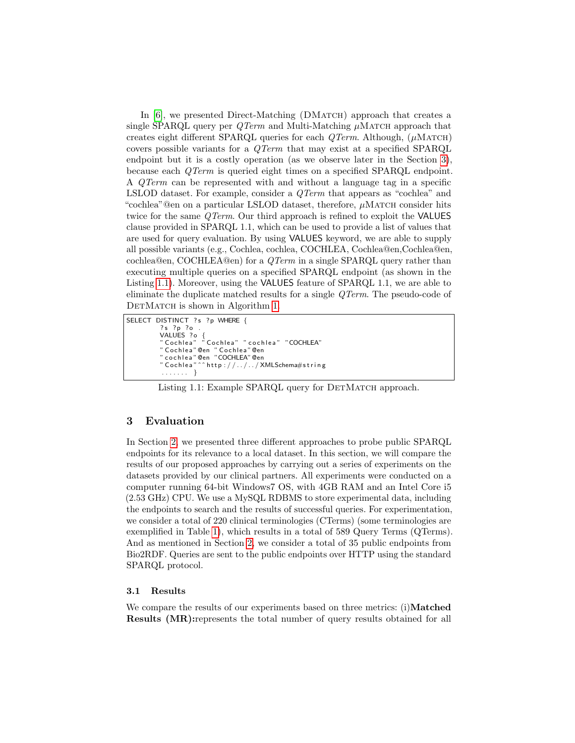In [\[6\]](#page-7-5), we presented Direct-Matching (DMATCH) approach that creates a single SPARQL query per  $QTerm$  and Multi-Matching  $\mu$ MATCH approach that creates eight different SPARQL queries for each  $QTerm$ . Although, ( $\mu$ MATCH) covers possible variants for a QTerm that may exist at a specified SPARQL endpoint but it is a costly operation (as we observe later in the Section [3\)](#page-3-0), because each QTerm is queried eight times on a specified SPARQL endpoint. A QTerm can be represented with and without a language tag in a specific LSLOD dataset. For example, consider a *QTerm* that appears as "cochlea" and "cochlea"@en on a particular LSLOD dataset, therefore,  $\mu$ MATCH consider hits twice for the same *QTerm*. Our third approach is refined to exploit the **VALUES** clause provided in SPARQL 1.1, which can be used to provide a list of values that are used for query evaluation. By using VALUES keyword, we are able to supply all possible variants (e.g., Cochlea, cochlea, COCHLEA, Cochlea@en,Cochlea@en, cochlea@en, COCHLEA@en) for a QTerm in a single SPARQL query rather than executing multiple queries on a specified SPARQL endpoint (as shown in the Listing [1.1\)](#page-3-1). Moreover, using the VALUES feature of SPARQL 1.1, we are able to eliminate the duplicate matched results for a single QTerm. The pseudo-code of DETMATCH is shown in Algorithm [1.](#page-2-3)

```
SELECT DISTINCT ?s ?p WHERE {
 ? s ? p ? o .
 VALUES ?o {<br>"Cochlea" "Cochlea" "cochlea" "COCHLEA"
 " Cochlea" @en  " Cochlea" @en<br>" cochlea" @en  "COCHLEA" @en
                  \hat{r} http ://\ldots/ \ldots/ XMLSchema\#string
 . . . . . . . }
```
Listing 1.1: Example SPARQL query for DETMATCH approach.

# <span id="page-3-0"></span>3 Evaluation

In Section [2,](#page-2-0) we presented three different approaches to probe public SPARQL endpoints for its relevance to a local dataset. In this section, we will compare the results of our proposed approaches by carrying out a series of experiments on the datasets provided by our clinical partners. All experiments were conducted on a computer running 64-bit Windows7 OS, with 4GB RAM and an Intel Core i5 (2.53 GHz) CPU. We use a MySQL RDBMS to store experimental data, including the endpoints to search and the results of successful queries. For experimentation, we consider a total of 220 clinical terminologies (CTerms) (some terminologies are exemplified in Table [1\)](#page-1-2), which results in a total of 589 Query Terms (QTerms). And as mentioned in Section [2,](#page-2-0) we consider a total of 35 public endpoints from Bio2RDF. Queries are sent to the public endpoints over HTTP using the standard SPARQL protocol.

#### 3.1 Results

We compare the results of our experiments based on three metrics: (i)Matched Results (MR):represents the total number of query results obtained for all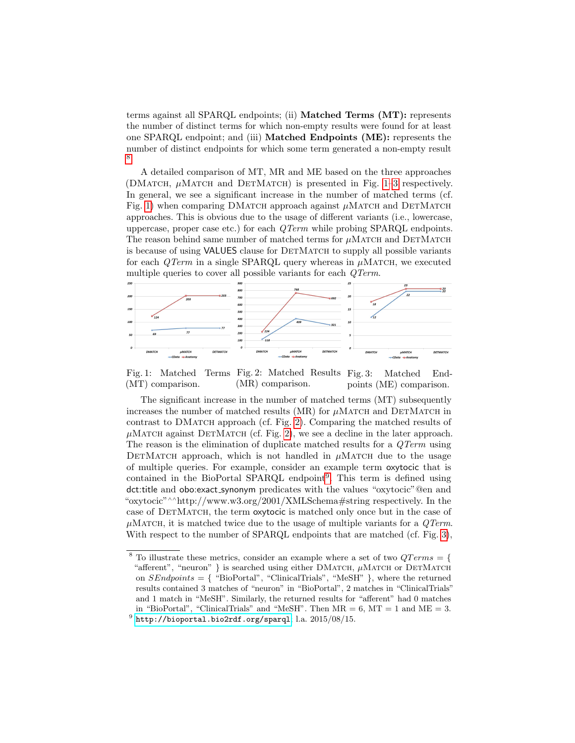terms against all SPARQL endpoints; (ii) Matched Terms (MT): represents the number of distinct terms for which non-empty results were found for at least one SPARQL endpoint; and (iii) Matched Endpoints (ME): represents the number of distinct endpoints for which some term generated a non-empty result [8](#page-4-0) .

A detailed comparison of MT, MR and ME based on the three approaches (DMATCH,  $\mu$ MATCH and DETMATCH) is presented in Fig. [1–3](#page-4-1) respectively. In general, we see a significant increase in the number of matched terms (cf. Fig. [1\)](#page-4-1) when comparing DMATCH approach against  $\mu$ MATCH and DETMATCH approaches. This is obvious due to the usage of different variants (i.e., lowercase, uppercase, proper case etc.) for each QTerm while probing SPARQL endpoints. The reason behind same number of matched terms for  $\mu$ MATCH and DETMATCH is because of using VALUES clause for DETMATCH to supply all possible variants for each  $QTerm$  in a single SPARQL query whereas in  $\mu$ MATCH, we executed multiple queries to cover all possible variants for each QTerm.

<span id="page-4-1"></span>

Fig. 1: Matched (MT) comparison. Terms Fig. 2: Matched Results Fig. 3: (MR) comparison. Matched Endpoints (ME) comparison.

The significant increase in the number of matched terms (MT) subsequently increases the number of matched results (MR) for  $\mu$ MATCH and DETMATCH in contrast to DMATCH approach (cf. Fig. [2\)](#page-4-1). Comparing the matched results of  $\mu$ MATCH against DETMATCH (cf. Fig. [2\)](#page-4-1), we see a decline in the later approach. The reason is the elimination of duplicate matched results for a  $QTerm$  using DETMATCH approach, which is not handled in  $\mu$ MATCH due to the usage of multiple queries. For example, consider an example term oxytocic that is contained in the BioPortal SPARQL endpoint<sup>[9](#page-4-2)</sup>. This term is defined using dct:title and obo:exact synonym predicates with the values "oxytocic"@en and "oxytocic"∧∧http://www.w3.org/2001/XMLSchema#string respectively. In the case of DETMATCH, the term oxytocic is matched only once but in the case of  $\mu$ MATCH, it is matched twice due to the usage of multiple variants for a *QTerm*. With respect to the number of SPARQL endpoints that are matched (cf. Fig. [3\)](#page-4-1),

<span id="page-4-2"></span><span id="page-4-0"></span> $8$  To illustrate these metrics, consider an example where a set of two  $QTerms = \{$ "afferent", "neuron" } is searched using either DMATCH,  $\mu$ MATCH or DETMATCH on  $SEndpoints = \{$  "BioPortal", "ClinicalTrials", "MeSH" }, where the returned results contained 3 matches of "neuron" in "BioPortal", 2 matches in "ClinicalTrials" and 1 match in "MeSH". Similarly, the returned results for "afferent" had 0 matches in "BioPortal", "ClinicalTrials" and "MeSH". Then  $MR = 6$ ,  $MT = 1$  and  $ME = 3$ .  $^9$  <http://bioportal.bio2rdf.org/sparql>; l.a.  $2015/08/15$ .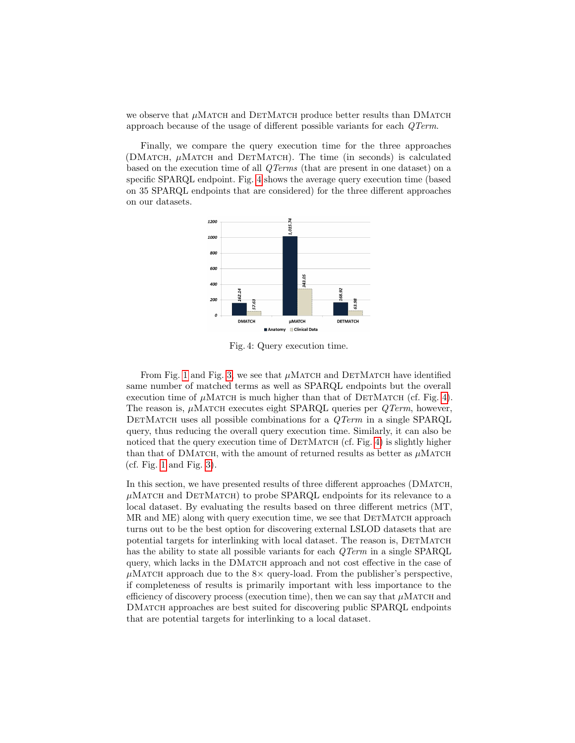we observe that  $\mu$ MATCH and DETMATCH produce better results than DMATCH approach because of the usage of different possible variants for each QTerm.

Finally, we compare the query execution time for the three approaches (DMATCH,  $\mu$ MATCH and DETMATCH). The time (in seconds) is calculated based on the execution time of all QTerms (that are present in one dataset) on a specific SPARQL endpoint. Fig. [4](#page-5-0) shows the average query execution time (based on 35 SPARQL endpoints that are considered) for the three different approaches on our datasets.

<span id="page-5-0"></span>

Fig. 4: Query execution time.

From Fig. [1](#page-4-1) and Fig. [3,](#page-4-1) we see that  $\mu$ MATCH and DETMATCH have identified same number of matched terms as well as SPARQL endpoints but the overall execution time of  $\mu$ MATCH is much higher than that of DETMATCH (cf. Fig. [4\)](#page-5-0). The reason is,  $\mu$ MATCH executes eight SPARQL queries per  $QTerm$ , however, DETMATCH uses all possible combinations for a  $QTerm$  in a single SPARQL query, thus reducing the overall query execution time. Similarly, it can also be noticed that the query execution time of  $DETMATCH$  (cf. Fig. [4\)](#page-5-0) is slightly higher than that of DMATCH, with the amount of returned results as better as  $\mu$ MATCH (cf. Fig. [1](#page-4-1) and Fig. [3\)](#page-4-1).

In this section, we have presented results of three different approaches (DMATCH,  $\mu$ Match and DETMATCH) to probe SPARQL endpoints for its relevance to a local dataset. By evaluating the results based on three different metrics (MT,  $MR$  and  $ME$ ) along with query execution time, we see that  $DETMATCH$  approach turns out to be the best option for discovering external LSLOD datasets that are potential targets for interlinking with local dataset. The reason is, DETMATCH has the ability to state all possible variants for each  $QTerm$  in a single SPARQL query, which lacks in the DMATCH approach and not cost effective in the case of  $\mu$ MATCH approach due to the 8 $\times$  query-load. From the publisher's perspective, if completeness of results is primarily important with less importance to the efficiency of discovery process (execution time), then we can say that  $\mu$ MATCH and DMatch approaches are best suited for discovering public SPARQL endpoints that are potential targets for interlinking to a local dataset.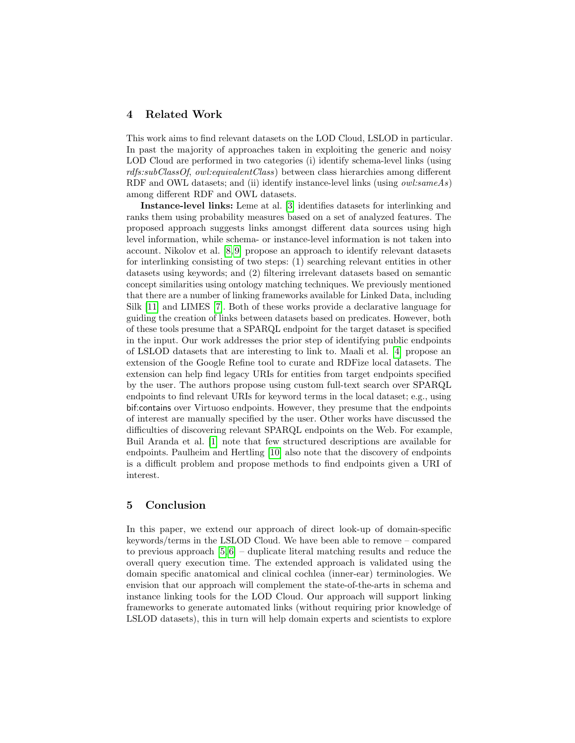### <span id="page-6-0"></span>4 Related Work

This work aims to find relevant datasets on the LOD Cloud, LSLOD in particular. In past the majority of approaches taken in exploiting the generic and noisy LOD Cloud are performed in two categories (i) identify schema-level links (using rdfs:subClassOf, owl:equivalentClass) between class hierarchies among different RDF and OWL datasets; and (ii) identify instance-level links (using *owl:sameAs*) among different RDF and OWL datasets.

Instance-level links: Leme at al. [\[3\]](#page-7-7) identifies datasets for interlinking and ranks them using probability measures based on a set of analyzed features. The proposed approach suggests links amongst different data sources using high level information, while schema- or instance-level information is not taken into account. Nikolov et al. [\[8,](#page-7-8) [9\]](#page-7-9) propose an approach to identify relevant datasets for interlinking consisting of two steps: (1) searching relevant entities in other datasets using keywords; and (2) filtering irrelevant datasets based on semantic concept similarities using ontology matching techniques. We previously mentioned that there are a number of linking frameworks available for Linked Data, including Silk [\[11\]](#page-7-1) and LIMES [\[7\]](#page-7-2). Both of these works provide a declarative language for guiding the creation of links between datasets based on predicates. However, both of these tools presume that a SPARQL endpoint for the target dataset is specified in the input. Our work addresses the prior step of identifying public endpoints of LSLOD datasets that are interesting to link to. Maali et al. [\[4\]](#page-7-10) propose an extension of the Google Refine tool to curate and RDFize local datasets. The extension can help find legacy URIs for entities from target endpoints specified by the user. The authors propose using custom full-text search over SPARQL endpoints to find relevant URIs for keyword terms in the local dataset; e.g., using bif:contains over Virtuoso endpoints. However, they presume that the endpoints of interest are manually specified by the user. Other works have discussed the difficulties of discovering relevant SPARQL endpoints on the Web. For example, Buil Aranda et al. [\[1\]](#page-7-0) note that few structured descriptions are available for endpoints. Paulheim and Hertling [\[10\]](#page-7-3) also note that the discovery of endpoints is a difficult problem and propose methods to find endpoints given a URI of interest.

# <span id="page-6-1"></span>5 Conclusion

In this paper, we extend our approach of direct look-up of domain-specific keywords/terms in the LSLOD Cloud. We have been able to remove – compared to previous approach  $[5, 6]$  $[5, 6]$  – duplicate literal matching results and reduce the overall query execution time. The extended approach is validated using the domain specific anatomical and clinical cochlea (inner-ear) terminologies. We envision that our approach will complement the state-of-the-arts in schema and instance linking tools for the LOD Cloud. Our approach will support linking frameworks to generate automated links (without requiring prior knowledge of LSLOD datasets), this in turn will help domain experts and scientists to explore